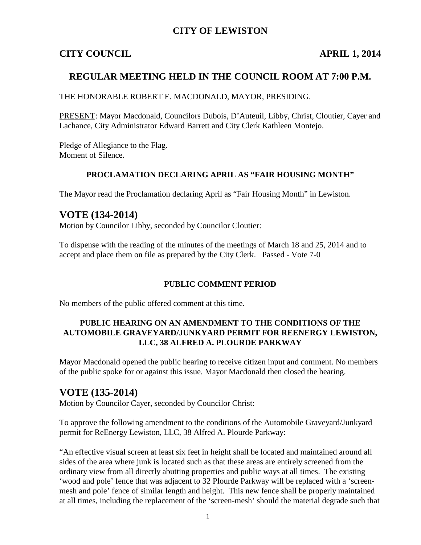## **CITY OF LEWISTON**

## **CITY COUNCIL APRIL 1, 2014**

## **REGULAR MEETING HELD IN THE COUNCIL ROOM AT 7:00 P.M.**

THE HONORABLE ROBERT E. MACDONALD, MAYOR, PRESIDING.

PRESENT: Mayor Macdonald, Councilors Dubois, D'Auteuil, Libby, Christ, Cloutier, Cayer and Lachance, City Administrator Edward Barrett and City Clerk Kathleen Montejo.

Pledge of Allegiance to the Flag. Moment of Silence.

#### **PROCLAMATION DECLARING APRIL AS "FAIR HOUSING MONTH"**

The Mayor read the Proclamation declaring April as "Fair Housing Month" in Lewiston.

## **VOTE (134-2014)**

Motion by Councilor Libby, seconded by Councilor Cloutier:

To dispense with the reading of the minutes of the meetings of March 18 and 25, 2014 and to accept and place them on file as prepared by the City Clerk. Passed - Vote 7-0

#### **PUBLIC COMMENT PERIOD**

No members of the public offered comment at this time.

#### **PUBLIC HEARING ON AN AMENDMENT TO THE CONDITIONS OF THE AUTOMOBILE GRAVEYARD/JUNKYARD PERMIT FOR REENERGY LEWISTON, LLC, 38 ALFRED A. PLOURDE PARKWAY**

Mayor Macdonald opened the public hearing to receive citizen input and comment. No members of the public spoke for or against this issue. Mayor Macdonald then closed the hearing.

## **VOTE (135-2014)**

Motion by Councilor Cayer, seconded by Councilor Christ:

To approve the following amendment to the conditions of the Automobile Graveyard/Junkyard permit for ReEnergy Lewiston, LLC, 38 Alfred A. Plourde Parkway:

"An effective visual screen at least six feet in height shall be located and maintained around all sides of the area where junk is located such as that these areas are entirely screened from the ordinary view from all directly abutting properties and public ways at all times. The existing 'wood and pole' fence that was adjacent to 32 Plourde Parkway will be replaced with a 'screenmesh and pole' fence of similar length and height. This new fence shall be properly maintained at all times, including the replacement of the 'screen-mesh' should the material degrade such that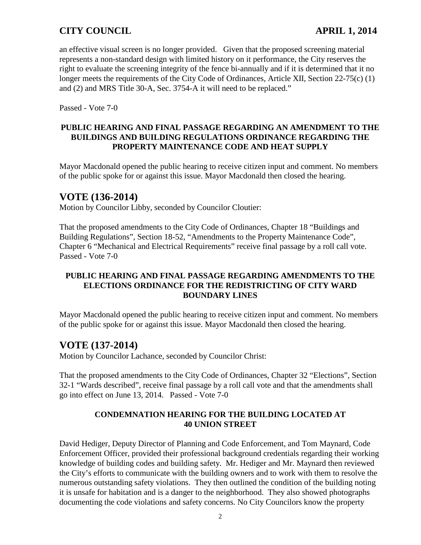an effective visual screen is no longer provided. Given that the proposed screening material represents a non-standard design with limited history on it performance, the City reserves the right to evaluate the screening integrity of the fence bi-annually and if it is determined that it no longer meets the requirements of the City Code of Ordinances, Article XII, Section 22-75(c) (1) and (2) and MRS Title 30-A, Sec. 3754-A it will need to be replaced."

Passed - Vote 7-0

## **PUBLIC HEARING AND FINAL PASSAGE REGARDING AN AMENDMENT TO THE BUILDINGS AND BUILDING REGULATIONS ORDINANCE REGARDING THE PROPERTY MAINTENANCE CODE AND HEAT SUPPLY**

Mayor Macdonald opened the public hearing to receive citizen input and comment. No members of the public spoke for or against this issue. Mayor Macdonald then closed the hearing.

## **VOTE (136-2014)**

Motion by Councilor Libby, seconded by Councilor Cloutier:

That the proposed amendments to the City Code of Ordinances, Chapter 18 "Buildings and Building Regulations", Section 18-52, "Amendments to the Property Maintenance Code", Chapter 6 "Mechanical and Electrical Requirements" receive final passage by a roll call vote. Passed - Vote 7-0

## **PUBLIC HEARING AND FINAL PASSAGE REGARDING AMENDMENTS TO THE ELECTIONS ORDINANCE FOR THE REDISTRICTING OF CITY WARD BOUNDARY LINES**

Mayor Macdonald opened the public hearing to receive citizen input and comment. No members of the public spoke for or against this issue. Mayor Macdonald then closed the hearing.

# **VOTE (137-2014)**

Motion by Councilor Lachance, seconded by Councilor Christ:

That the proposed amendments to the City Code of Ordinances, Chapter 32 "Elections", Section 32-1 "Wards described", receive final passage by a roll call vote and that the amendments shall go into effect on June 13, 2014. Passed - Vote 7-0

## **CONDEMNATION HEARING FOR THE BUILDING LOCATED AT 40 UNION STREET**

David Hediger, Deputy Director of Planning and Code Enforcement, and Tom Maynard, Code Enforcement Officer, provided their professional background credentials regarding their working knowledge of building codes and building safety. Mr. Hediger and Mr. Maynard then reviewed the City's efforts to communicate with the building owners and to work with them to resolve the numerous outstanding safety violations. They then outlined the condition of the building noting it is unsafe for habitation and is a danger to the neighborhood. They also showed photographs documenting the code violations and safety concerns. No City Councilors know the property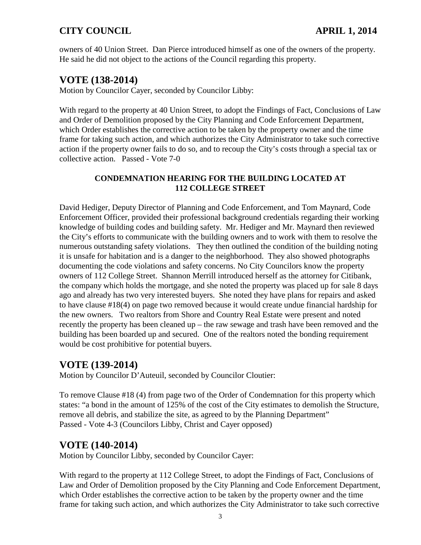owners of 40 Union Street. Dan Pierce introduced himself as one of the owners of the property. He said he did not object to the actions of the Council regarding this property.

# **VOTE (138-2014)**

Motion by Councilor Cayer, seconded by Councilor Libby:

With regard to the property at 40 Union Street, to adopt the Findings of Fact, Conclusions of Law and Order of Demolition proposed by the City Planning and Code Enforcement Department, which Order establishes the corrective action to be taken by the property owner and the time frame for taking such action, and which authorizes the City Administrator to take such corrective action if the property owner fails to do so, and to recoup the City's costs through a special tax or collective action. Passed - Vote 7-0

## **CONDEMNATION HEARING FOR THE BUILDING LOCATED AT 112 COLLEGE STREET**

David Hediger, Deputy Director of Planning and Code Enforcement, and Tom Maynard, Code Enforcement Officer, provided their professional background credentials regarding their working knowledge of building codes and building safety. Mr. Hediger and Mr. Maynard then reviewed the City's efforts to communicate with the building owners and to work with them to resolve the numerous outstanding safety violations. They then outlined the condition of the building noting it is unsafe for habitation and is a danger to the neighborhood. They also showed photographs documenting the code violations and safety concerns. No City Councilors know the property owners of 112 College Street. Shannon Merrill introduced herself as the attorney for Citibank, the company which holds the mortgage, and she noted the property was placed up for sale 8 days ago and already has two very interested buyers. She noted they have plans for repairs and asked to have clause #18(4) on page two removed because it would create undue financial hardship for the new owners. Two realtors from Shore and Country Real Estate were present and noted recently the property has been cleaned up – the raw sewage and trash have been removed and the building has been boarded up and secured. One of the realtors noted the bonding requirement would be cost prohibitive for potential buyers.

# **VOTE (139-2014)**

Motion by Councilor D'Auteuil, seconded by Councilor Cloutier:

To remove Clause #18 (4) from page two of the Order of Condemnation for this property which states: "a bond in the amount of 125% of the cost of the City estimates to demolish the Structure, remove all debris, and stabilize the site, as agreed to by the Planning Department" Passed - Vote 4-3 (Councilors Libby, Christ and Cayer opposed)

# **VOTE (140-2014)**

Motion by Councilor Libby, seconded by Councilor Cayer:

With regard to the property at 112 College Street, to adopt the Findings of Fact, Conclusions of Law and Order of Demolition proposed by the City Planning and Code Enforcement Department, which Order establishes the corrective action to be taken by the property owner and the time frame for taking such action, and which authorizes the City Administrator to take such corrective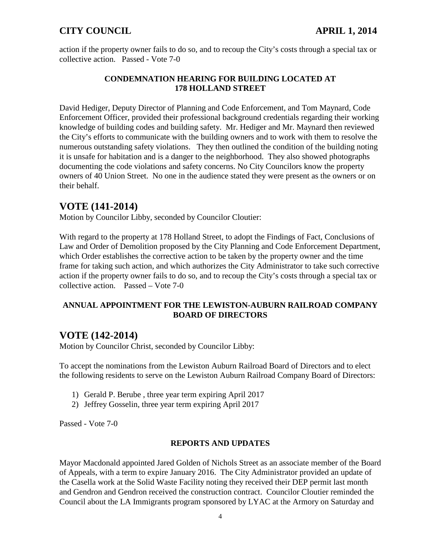action if the property owner fails to do so, and to recoup the City's costs through a special tax or collective action. Passed - Vote 7-0

## **CONDEMNATION HEARING FOR BUILDING LOCATED AT 178 HOLLAND STREET**

David Hediger, Deputy Director of Planning and Code Enforcement, and Tom Maynard, Code Enforcement Officer, provided their professional background credentials regarding their working knowledge of building codes and building safety. Mr. Hediger and Mr. Maynard then reviewed the City's efforts to communicate with the building owners and to work with them to resolve the numerous outstanding safety violations. They then outlined the condition of the building noting it is unsafe for habitation and is a danger to the neighborhood. They also showed photographs documenting the code violations and safety concerns. No City Councilors know the property owners of 40 Union Street. No one in the audience stated they were present as the owners or on their behalf.

## **VOTE (141-2014)**

Motion by Councilor Libby, seconded by Councilor Cloutier:

With regard to the property at 178 Holland Street, to adopt the Findings of Fact, Conclusions of Law and Order of Demolition proposed by the City Planning and Code Enforcement Department, which Order establishes the corrective action to be taken by the property owner and the time frame for taking such action, and which authorizes the City Administrator to take such corrective action if the property owner fails to do so, and to recoup the City's costs through a special tax or collective action. Passed – Vote 7-0

#### **ANNUAL APPOINTMENT FOR THE LEWISTON-AUBURN RAILROAD COMPANY BOARD OF DIRECTORS**

# **VOTE (142-2014)**

Motion by Councilor Christ, seconded by Councilor Libby:

To accept the nominations from the Lewiston Auburn Railroad Board of Directors and to elect the following residents to serve on the Lewiston Auburn Railroad Company Board of Directors:

- 1) Gerald P. Berube , three year term expiring April 2017
- 2) Jeffrey Gosselin, three year term expiring April 2017

Passed - Vote 7-0

#### **REPORTS AND UPDATES**

Mayor Macdonald appointed Jared Golden of Nichols Street as an associate member of the Board of Appeals, with a term to expire January 2016. The City Administrator provided an update of the Casella work at the Solid Waste Facility noting they received their DEP permit last month and Gendron and Gendron received the construction contract. Councilor Cloutier reminded the Council about the LA Immigrants program sponsored by LYAC at the Armory on Saturday and